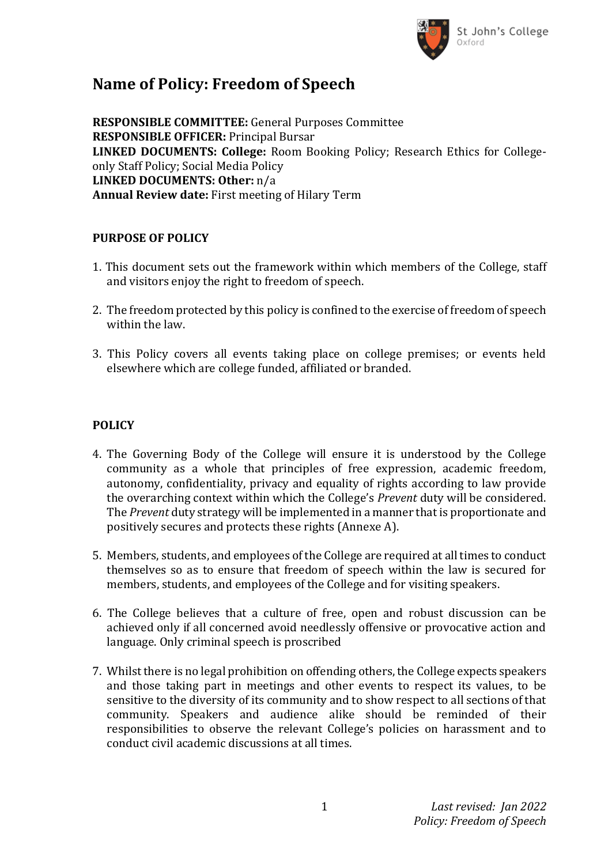

## **Name of Policy: Freedom of Speech**

**RESPONSIBLE COMMITTEE:** General Purposes Committee **RESPONSIBLE OFFICER:** Principal Bursar **LINKED DOCUMENTS: College:** Room Booking Policy; Research Ethics for Collegeonly Staff Policy; Social Media Policy **LINKED DOCUMENTS: Other:** n/a **Annual Review date:** First meeting of Hilary Term

### **PURPOSE OF POLICY**

- 1. This document sets out the framework within which members of the College, staff and visitors enjoy the right to freedom of speech.
- 2. The freedom protected by this policy is confined to the exercise of freedom of speech within the law.
- 3. This Policy covers all events taking place on college premises; or events held elsewhere which are college funded, affiliated or branded.

## **POLICY**

- 4. The Governing Body of the College will ensure it is understood by the College community as a whole that principles of free expression, academic freedom, autonomy, confidentiality, privacy and equality of rights according to law provide the overarching context within which the College's *Prevent* duty will be considered. The *Prevent* duty strategy will be implemented in a manner that is proportionate and positively secures and protects these rights (Annexe A).
- 5. Members, students, and employees of the College are required at all times to conduct themselves so as to ensure that freedom of speech within the law is secured for members, students, and employees of the College and for visiting speakers.
- 6. The College believes that a culture of free, open and robust discussion can be achieved only if all concerned avoid needlessly offensive or provocative action and language. Only criminal speech is proscribed
- 7. Whilst there is no legal prohibition on offending others, the College expects speakers and those taking part in meetings and other events to respect its values, to be sensitive to the diversity of its community and to show respect to all sections of that community. Speakers and audience alike should be reminded of their responsibilities to observe the relevant College's policies on harassment and to conduct civil academic discussions at all times.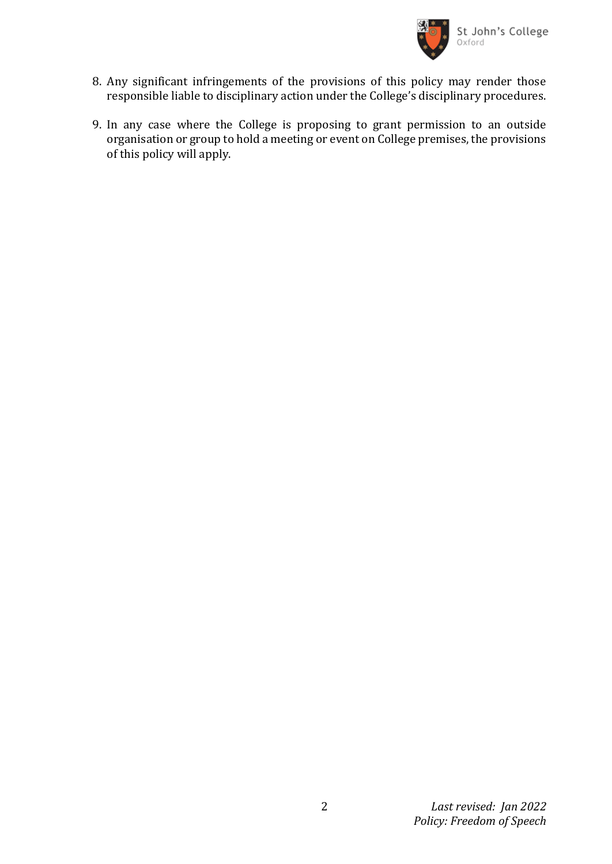

- 8. Any significant infringements of the provisions of this policy may render those responsible liable to disciplinary action under the College's disciplinary procedures.
- 9. In any case where the College is proposing to grant permission to an outside organisation or group to hold a meeting or event on College premises, the provisions of this policy will apply.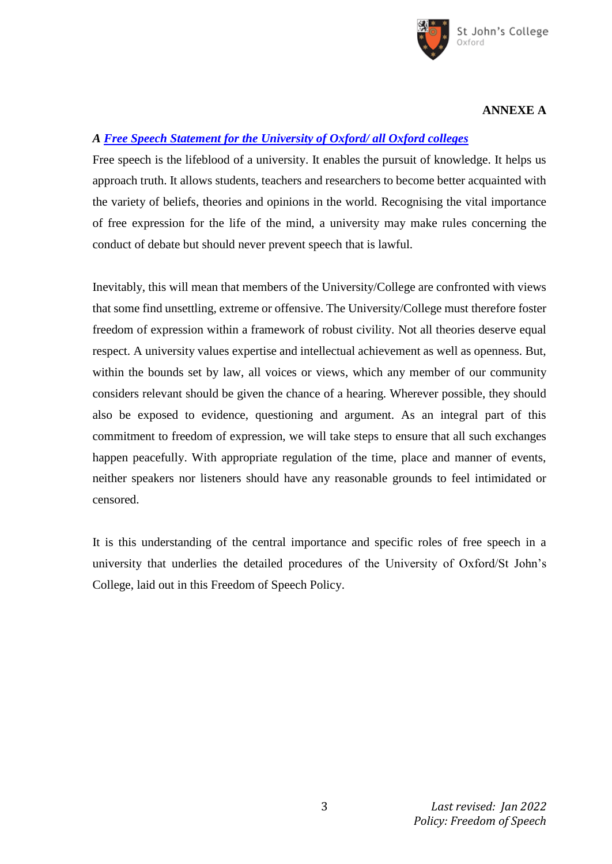

#### **ANNEXE A**

## *A [Free Speech Statement for the University of Oxford/ all Oxford colleges](https://compliance.admin.ox.ac.uk/freedom-of-speech)*

Free speech is the lifeblood of a university. It enables the pursuit of knowledge. It helps us approach truth. It allows students, teachers and researchers to become better acquainted with the variety of beliefs, theories and opinions in the world. Recognising the vital importance of free expression for the life of the mind, a university may make rules concerning the conduct of debate but should never prevent speech that is lawful.

Inevitably, this will mean that members of the University/College are confronted with views that some find unsettling, extreme or offensive. The University/College must therefore foster freedom of expression within a framework of robust civility. Not all theories deserve equal respect. A university values expertise and intellectual achievement as well as openness. But, within the bounds set by law, all voices or views, which any member of our community considers relevant should be given the chance of a hearing. Wherever possible, they should also be exposed to evidence, questioning and argument. As an integral part of this commitment to freedom of expression, we will take steps to ensure that all such exchanges happen peacefully. With appropriate regulation of the time, place and manner of events, neither speakers nor listeners should have any reasonable grounds to feel intimidated or censored.

It is this understanding of the central importance and specific roles of free speech in a university that underlies the detailed procedures of the University of Oxford/St John's College, laid out in this Freedom of Speech Policy.